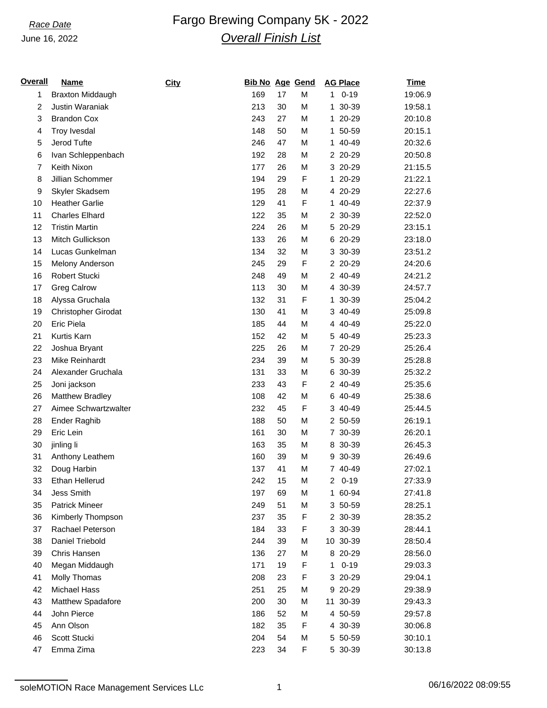## June 16, 2022

## **Race Date Fargo Brewing Company 5K - 2022** *Overall Finish List*

| <u>Overall</u> | <b>Name</b>                | City | <b>Bib No Age Gend</b> |    |   |    | <b>AG Place</b> | <b>Time</b> |
|----------------|----------------------------|------|------------------------|----|---|----|-----------------|-------------|
| 1              | <b>Braxton Middaugh</b>    |      | 169                    | 17 | M | 1  | $0 - 19$        | 19:06.9     |
| 2              | Justin Waraniak            |      | 213                    | 30 | M |    | 1 30-39         | 19:58.1     |
| 3              | <b>Brandon Cox</b>         |      | 243                    | 27 | M |    | 1 20-29         | 20:10.8     |
| 4              | Troy Ivesdal               |      | 148                    | 50 | M |    | 1 50-59         | 20:15.1     |
| 5              | Jerod Tufte                |      | 246                    | 47 | M |    | 1 40-49         | 20:32.6     |
| 6              | Ivan Schleppenbach         |      | 192                    | 28 | M |    | 2 20-29         | 20:50.8     |
| $\overline{7}$ | Keith Nixon                |      | 177                    | 26 | M |    | 3 20-29         | 21:15.5     |
| 8              | Jillian Schommer           |      | 194                    | 29 | F | 1. | 20-29           | 21:22.1     |
| 9              | Skyler Skadsem             |      | 195                    | 28 | М |    | 4 20-29         | 22:27.6     |
| 10             | <b>Heather Garlie</b>      |      | 129                    | 41 | F |    | 1 40-49         | 22:37.9     |
| 11             | <b>Charles Elhard</b>      |      | 122                    | 35 | M |    | 2 30-39         | 22:52.0     |
| 12             | <b>Tristin Martin</b>      |      | 224                    | 26 | M |    | 5 20-29         | 23:15.1     |
| 13             | Mitch Gullickson           |      | 133                    | 26 | M |    | 6 20-29         | 23:18.0     |
| 14             | Lucas Gunkelman            |      | 134                    | 32 | M |    | 3 30-39         | 23:51.2     |
| 15             | Melony Anderson            |      | 245                    | 29 | F |    | 2 20-29         | 24:20.6     |
| 16             | Robert Stucki              |      | 248                    | 49 | M |    | 2 40-49         | 24:21.2     |
| 17             | <b>Greg Calrow</b>         |      | 113                    | 30 | M |    | 4 30-39         | 24:57.7     |
| 18             | Alyssa Gruchala            |      | 132                    | 31 | F |    | 1 30-39         | 25:04.2     |
| 19             | <b>Christopher Girodat</b> |      | 130                    | 41 | M |    | 3 40-49         | 25:09.8     |
| 20             | Eric Piela                 |      | 185                    | 44 | M |    | 4 40-49         | 25:22.0     |
| 21             | Kurtis Karn                |      | 152                    | 42 | M |    | 5 40-49         | 25:23.3     |
| 22             | Joshua Bryant              |      | 225                    | 26 | M |    | 7 20-29         | 25:26.4     |
| 23             | Mike Reinhardt             |      | 234                    | 39 | M |    | 5 30-39         | 25:28.8     |
| 24             | Alexander Gruchala         |      | 131                    | 33 | M |    | 6 30-39         | 25:32.2     |
| 25             | Joni jackson               |      | 233                    | 43 | F |    | 2 40-49         | 25:35.6     |
| 26             | Matthew Bradley            |      | 108                    | 42 | M |    | 6 40-49         | 25:38.6     |
| 27             | Aimee Schwartzwalter       |      | 232                    | 45 | F |    | 3 40-49         | 25:44.5     |
| 28             | <b>Ender Raghib</b>        |      | 188                    | 50 | M |    | 2 50-59         | 26:19.1     |
| 29             | Eric Lein                  |      | 161                    | 30 | M |    | 7 30-39         | 26:20.1     |
| 30             | jinling li                 |      | 163                    | 35 | M |    | 8 30-39         | 26:45.3     |
| 31             | Anthony Leathem            |      | 160                    | 39 | M |    | 9 30-39         | 26:49.6     |
| 32             | Doug Harbin                |      | 137                    | 41 | M |    | 7 40-49         | 27:02.1     |
| 33             | Ethan Hellerud             |      | 242                    | 15 | M |    | $20 - 19$       | 27:33.9     |
| 34             | Jess Smith                 |      | 197                    | 69 | M |    | 1 60-94         | 27:41.8     |
| 35             | <b>Patrick Mineer</b>      |      | 249                    | 51 | M |    | 3 50-59         | 28:25.1     |
| 36             | Kimberly Thompson          |      | 237                    | 35 | F |    | 2 30-39         | 28:35.2     |
| 37             | Rachael Peterson           |      | 184                    | 33 | F |    | 3 30-39         | 28:44.1     |
| 38             | Daniel Triebold            |      | 244                    | 39 | M |    | 10 30-39        | 28:50.4     |
| 39             | Chris Hansen               |      | 136                    | 27 | M |    | 8 20-29         | 28:56.0     |
| 40             | Megan Middaugh             |      | 171                    | 19 | F | 1  | $0 - 19$        | 29:03.3     |
| 41             | Molly Thomas               |      | 208                    | 23 | F |    | 3 20-29         | 29:04.1     |
| 42             | <b>Michael Hass</b>        |      | 251                    | 25 | M |    | 9 20-29         | 29:38.9     |
| 43             | Matthew Spadafore          |      | 200                    | 30 | M |    | 11 30-39        | 29:43.3     |
| 44             | John Pierce                |      | 186                    | 52 | M |    | 4 50-59         | 29:57.8     |
| 45             | Ann Olson                  |      | 182                    | 35 | F |    | 4 30-39         | 30:06.8     |
| 46             | Scott Stucki               |      | 204                    | 54 | М |    | 5 50-59         | 30:10.1     |
| 47             | Emma Zima                  |      | 223                    | 34 | F |    | 5 30-39         | 30:13.8     |
|                |                            |      |                        |    |   |    |                 |             |

soleMOTION Race Management Services LLc 1 06/16/2022 08:09:55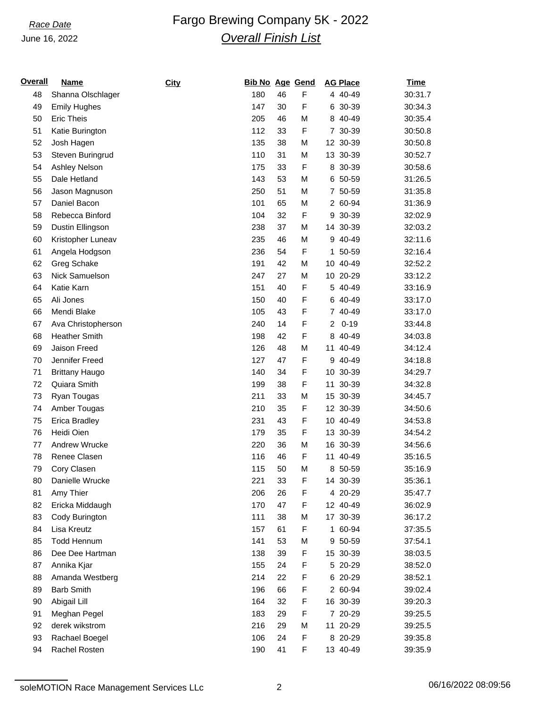### June 16, 2022

# **Race Date Fargo Brewing Company 5K - 2022** *Overall Finish List*

| <u>Overall</u> | <b>Name</b>           | <b>City</b> | <b>Bib No Age Gend</b> |    |   | <b>AG Place</b> |          | <b>Time</b> |
|----------------|-----------------------|-------------|------------------------|----|---|-----------------|----------|-------------|
| 48             | Shanna Olschlager     |             | 180                    | 46 | F |                 | 4 40-49  | 30:31.7     |
| 49             | <b>Emily Hughes</b>   |             | 147                    | 30 | F |                 | 6 30-39  | 30:34.3     |
| 50             | <b>Eric Theis</b>     |             | 205                    | 46 | M |                 | 8 40-49  | 30:35.4     |
| 51             | Katie Burington       |             | 112                    | 33 | F |                 | 7 30-39  | 30:50.8     |
| 52             | Josh Hagen            |             | 135                    | 38 | M | 12 30-39        |          | 30:50.8     |
| 53             | Steven Buringrud      |             | 110                    | 31 | M | 13 30-39        |          | 30:52.7     |
| 54             | Ashley Nelson         |             | 175                    | 33 | F |                 | 8 30-39  | 30:58.6     |
| 55             | Dale Hetland          |             | 143                    | 53 | M |                 | 6 50-59  | 31:26.5     |
| 56             | Jason Magnuson        |             | 250                    | 51 | M |                 | 7 50-59  | 31:35.8     |
| 57             | Daniel Bacon          |             | 101                    | 65 | M |                 | 2 60-94  | 31:36.9     |
| 58             | Rebecca Binford       |             | 104                    | 32 | F |                 | 9 30-39  | 32:02.9     |
| 59             | Dustin Ellingson      |             | 238                    | 37 | M | 14 30-39        |          | 32:03.2     |
| 60             | Kristopher Luneav     |             | 235                    | 46 | M |                 | 9 40-49  | 32:11.6     |
| 61             | Angela Hodgson        |             | 236                    | 54 | F |                 | 1 50-59  | 32:16.4     |
| 62             | Greg Schake           |             | 191                    | 42 | M | 10 40-49        |          | 32:52.2     |
| 63             | Nick Samuelson        |             | 247                    | 27 | M | 10 20-29        |          | 33:12.2     |
| 64             | Katie Karn            |             | 151                    | 40 | F |                 | 5 40-49  | 33:16.9     |
| 65             | Ali Jones             |             | 150                    | 40 | F |                 | 6 40-49  | 33:17.0     |
| 66             | Mendi Blake           |             | 105                    | 43 | F |                 | 7 40-49  | 33:17.0     |
| 67             | Ava Christopherson    |             | 240                    | 14 | F | $\overline{2}$  | $0 - 19$ | 33:44.8     |
| 68             | <b>Heather Smith</b>  |             | 198                    | 42 | F |                 | 8 40-49  | 34:03.8     |
| 69             | Jaison Freed          |             | 126                    | 48 | M | 11 40-49        |          | 34:12.4     |
| 70             | Jennifer Freed        |             | 127                    | 47 | F |                 | 9 40-49  | 34:18.8     |
| 71             | <b>Brittany Haugo</b> |             | 140                    | 34 | F | 10 30-39        |          | 34:29.7     |
| 72             | Quiara Smith          |             | 199                    | 38 | F | 11 30-39        |          | 34:32.8     |
| 73             | Ryan Tougas           |             | 211                    | 33 | M | 15 30-39        |          | 34:45.7     |
| 74             | Amber Tougas          |             | 210                    | 35 | F | 12 30-39        |          | 34:50.6     |
| 75             | <b>Erica Bradley</b>  |             | 231                    | 43 | F | 10 40-49        |          | 34:53.8     |
| 76             | Heidi Oien            |             | 179                    | 35 | F | 13 30-39        |          | 34:54.2     |
| 77             | Andrew Wrucke         |             | 220                    | 36 | M | 16 30-39        |          | 34:56.6     |
| 78             | Renee Clasen          |             | 116                    | 46 | F | 11              | 40-49    | 35:16.5     |
| 79             | Cory Clasen           |             | 115                    | 50 | M |                 | 8 50-59  | 35:16.9     |
| 80             | Danielle Wrucke       |             | 221                    | 33 | F | 14 30-39        |          | 35:36.1     |
| 81             | Amy Thier             |             | 206                    | 26 | F |                 | 4 20-29  | 35:47.7     |
| 82             | Ericka Middaugh       |             | 170                    | 47 | F |                 | 12 40-49 | 36:02.9     |
| 83             | Cody Burington        |             | 111                    | 38 | M |                 | 17 30-39 | 36:17.2     |
| 84             | Lisa Kreutz           |             | 157                    | 61 | F |                 | 1 60-94  | 37:35.5     |
| 85             | <b>Todd Hennum</b>    |             | 141                    | 53 | М |                 | 9 50-59  | 37:54.1     |
| 86             | Dee Dee Hartman       |             | 138                    | 39 | F |                 | 15 30-39 | 38:03.5     |
| 87             | Annika Kjar           |             | 155                    | 24 | F |                 | 5 20-29  | 38:52.0     |
| 88             | Amanda Westberg       |             | 214                    | 22 | F |                 | 6 20-29  | 38:52.1     |
| 89             | <b>Barb Smith</b>     |             | 196                    | 66 | F |                 | 2 60-94  | 39:02.4     |
| 90             | Abigail Lill          |             | 164                    | 32 | F |                 | 16 30-39 | 39:20.3     |
| 91             | Meghan Pegel          |             | 183                    | 29 | F |                 | 7 20-29  | 39:25.5     |
| 92             | derek wikstrom        |             | 216                    | 29 | M |                 | 11 20-29 | 39:25.5     |
| 93             | Rachael Boegel        |             | 106                    | 24 | F |                 | 8 20-29  | 39:35.8     |
| 94             | Rachel Rosten         |             | 190                    | 41 | F |                 | 13 40-49 | 39:35.9     |